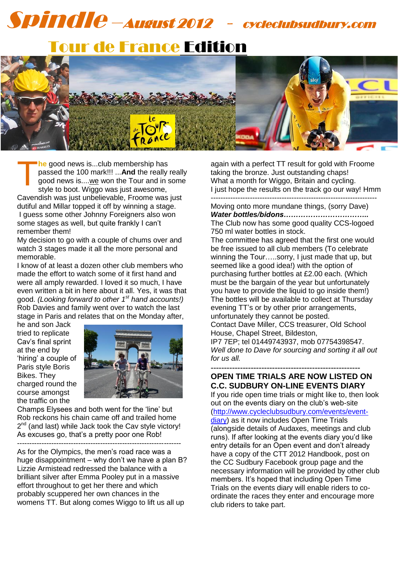# 1 Spindle –August 2012 - cycleclubsudbury.com

# Tour de France Edition



**he** good news is...club membership has passed the 100 mark!!! ...**And** the really really good news is....we won the Tour and in some style to boot. Wiggo was just awesome, T

Cavendish was just unbelievable, Froome was just dutiful and Millar topped it off by winning a stage. I guess some other Johnny Foreigners also won some stages as well, but quite frankly I can't remember them!

My decision to go with a couple of chums over and watch 3 stages made it all the more personal and memorable.

I know of at least a dozen other club members who made the effort to watch some of it first hand and were all amply rewarded. I loved it so much, I have even written a bit in here about it all. Yes, it was that good. *(Looking forward to other 1st hand accounts!)* Rob Davies and family went over to watch the last stage in Paris and relates that on the Monday after,

he and son Jack tried to replicate Cav's final sprint at the end by 'hiring' a couple of Paris style Boris Bikes. They charged round the course amongst the traffic on the



Champs Elysees and both went for the 'line' but Rob reckons his chain came off and trailed home  $2^{nd}$  (and last) while Jack took the Cav style victory! As excuses go, that's a pretty poor one Rob!

-------------------------------------------------------------------

As for the Olympics, the men's road race was a huge disappointment – why don't we have a plan B? Lizzie Armistead redressed the balance with a brilliant silver after Emma Pooley put in a massive effort throughout to get her there and which probably scuppered her own chances in the womens TT. But along comes Wiggo to lift us all up

again with a perfect TT result for gold with Froome taking the bronze. Just outstanding chaps! What a month for Wiggo, Britain and cycling. I just hope the results on the track go our way! Hmm --------------------------------------------------------------------

Moving onto more mundane things, (sorry Dave) *Water bottles/bidons……………………………..* The Club now has some good quality CCS-logoed 750 ml water bottles in stock.

The committee has agreed that the first one would be free issued to all club members (To celebrate winning the Tour…..sorry, I just made that up, but seemed like a good idea!) with the option of purchasing further bottles at £2.00 each. (Which must be the bargain of the year but unfortunately you have to provide the liquid to go inside them!) The bottles will be available to collect at Thursday evening TT's or by other prior arrangements, unfortunately they cannot be posted.

Contact Dave Miller, CCS treasurer, Old School House, Chapel Street, Bildeston,

IP7 7EP; tel 01449743937, mob 07754398547. *Well done to Dave for sourcing and sorting it all out for us all.*

**--------------------------------------------------------**

### **OPEN TIME TRIALS ARE NOW LISTED ON C.C. SUDBURY ON-LINE EVENTS DIARY**

If you ride open time trials or might like to, then look out on the events diary on the club's web-site [\(http://www.cycleclubsudbury.com/events/event](http://www.cycleclubsudbury.com/events/event-diary)[diary\)](http://www.cycleclubsudbury.com/events/event-diary) as it now includes Open Time Trials

(alongside details of Audaxes, meetings and club runs). If after looking at the events diary you'd like entry details for an Open event and don't already have a copy of the CTT 2012 Handbook, post on the CC Sudbury Facebook group page and the necessary information will be provided by other club members. It's hoped that including Open Time Trials on the events diary will enable riders to coordinate the races they enter and encourage more club riders to take part.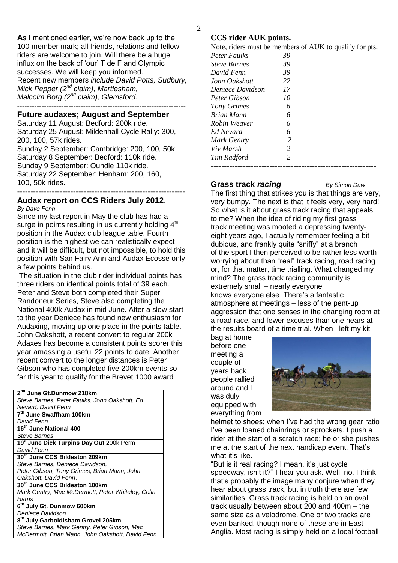**A**s I mentioned earlier, we're now back up to the 100 member mark; all friends, relations and fellow riders are welcome to join. Will there be a huge influx on the back of 'our' T de F and Olympic successes. We will keep you informed. Recent new members *include David Potts, Sudbury, Mick Pepper (2nd claim), Martlesham, Malcolm Borg (2nd claim), Glemsford*. ---------------------------------------------------------------------

### **Future audaxes; August and September**

Saturday 11 August: Bedford: 200k ride. Saturday 25 August: Mildenhall Cycle Rally: 300, 200, 100, 57k rides.

Sunday 2 September: Cambridge: 200, 100, 50k Saturday 8 September: Bedford: 110k ride. Sunday 9 September: Oundle 110k ride. Saturday 22 September: Henham: 200, 160, 100, 50k rides. ---------------------------------------------------------------

#### **Audax report on CCS Riders July 2012***. By Dave Fenn*

Since my last report in May the club has had a surge in points resulting in us currently holding 4<sup>th</sup> position in the Audax club league table. Fourth position is the highest we can realistically expect and it will be difficult, but not impossible, to hold this position with San Fairy Ann and Audax Ecosse only a few points behind us.

The situation in the club rider individual points has three riders on identical points total of 39 each. Peter and Steve both completed their Super Randoneur Series, Steve also completing the National 400k Audax in mid June. After a slow start to the year Deniece has found new enthusiasm for Audaxing, moving up one place in the points table. John Oakshott, a recent convert to regular 200k Adaxes has become a consistent points scorer this year amassing a useful 22 points to date. Another recent convert to the longer distances is Peter Gibson who has completed five 200km events so far this year to qualify for the Brevet 1000 award

| 2 <sup>nd</sup> June Gt.Dunmow 218km              |
|---------------------------------------------------|
| Steve Barnes, Peter Faulks, John Oakshott, Ed     |
| Nevard, David Fenn                                |
| 7th June Swaffham 100km                           |
| David Fenn                                        |
| 16 <sup>th</sup> June National 400                |
| <b>Steve Barnes</b>                               |
| 19th June Dick Turpins Day Out 200k Perm          |
| David Fenn                                        |
| 30th June CCS Bildeston 209km                     |
| Steve Barnes, Deniece Davidson,                   |
| Peter Gibson, Tony Grimes, Brian Mann, John       |
| Oakshott, David Fenn.                             |
| 30th June CCS Bildeston 100km                     |
| Mark Gentry, Mac McDermott, Peter Whiteley, Colin |
| Harris                                            |
| 6th July Gt. Dunmow 600km                         |
| Deniece Davidson                                  |
| 8th July Garboldisham Grovel 205km                |
| Steve Barnes, Mark Gentry, Peter Gibson, Mac      |
| McDermott, Brian Mann, John Oakshott, David Fenn. |

### **CCS rider AUK points.**

Note, riders must be members of AUK to qualify for pts.

| <b>Peter Faulks</b> | 39             |  |  |
|---------------------|----------------|--|--|
| <b>Steve Barnes</b> | 39             |  |  |
| David Fenn          | 39             |  |  |
| John Oakshott       | 22             |  |  |
| Deniece Davidson    | 17             |  |  |
| Peter Gibson        | 10             |  |  |
| Tony Grimes         | 6              |  |  |
| <b>Brian Mann</b>   | 6              |  |  |
| Robin Weaver        | 6              |  |  |
| Ed Nevard           | 6              |  |  |
| Mark Gentry         | 2              |  |  |
| Viv Marsh           | 2              |  |  |
| Tim Radford         | $\mathfrak{D}$ |  |  |
|                     |                |  |  |
|                     |                |  |  |

### **Grass track** *racing By Simon Daw*

The first thing that strikes you is that things are very, very bumpy. The next is that it feels very, very hard! So what is it about grass track racing that appeals to me? When the idea of riding my first grass track meeting was mooted a depressing twentyeight years ago, I actually remember feeling a bit dubious, and frankly quite "sniffy" at a branch of the sport I then perceived to be rather less worth worrying about than "real" track racing, road racing or, for that matter, time trialling. What changed my mind? The grass track racing community is extremely small – nearly everyone knows everyone else. There's a fantastic atmosphere at meetings – less of the pent-up aggression that one senses in the changing room at a road race, and fewer excuses than one hears at the results board of a time trial. When I left my kit

bag at home before one meeting a couple of years back people rallied around and I was duly equipped with everything from



helmet to shoes; when I've had the wrong gear ratio I've been loaned chainrings or sprockets. I push a rider at the start of a scratch race; he or she pushes me at the start of the next handicap event. That's what it's like.

"But is it real racing? I mean, it's just cycle speedway, isn't it?" I hear you ask. Well, no. I think that's probably the image many conjure when they hear about grass track, but in truth there are few similarities. Grass track racing is held on an oval track usually between about 200 and 400m – the same size as a velodrome. One or two tracks are even banked, though none of these are in East Anglia. Most racing is simply held on a local football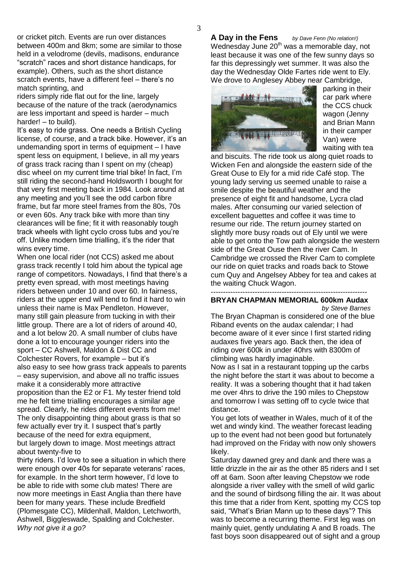or cricket pitch. Events are run over distances between 400m and 8km; some are similar to those held in a velodrome (devils, madisons, endurance "scratch" races and short distance handicaps, for example). Others, such as the short distance scratch events, have a different feel – there's no match sprinting, and

riders simply ride flat out for the line, largely because of the nature of the track (aerodynamics are less important and speed is harder – much harder! – to build).

It's easy to ride grass. One needs a British Cycling license, of course, and a track bike. However, it's an undemanding sport in terms of equipment – I have spent less on equipment, I believe, in all my years of grass track racing than I spent on my (cheap) disc wheel on my current time trial bike! In fact, I'm still riding the second-hand Holdsworth I bought for that very first meeting back in 1984. Look around at any meeting and you'll see the odd carbon fibre frame, but far more steel frames from the 80s, 70s or even 60s. Any track bike with more than tiny clearances will be fine; fit it with reasonably tough track wheels with light cyclo cross tubs and you're off. Unlike modern time trialling, it's the rider that wins every time.

When one local rider (not CCS) asked me about grass track recently I told him about the typical age range of competitors. Nowadays, I find that there's a pretty even spread, with most meetings having riders between under 10 and over 60. In fairness, riders at the upper end will tend to find it hard to win unless their name is Max Pendleton. However, many still gain pleasure from tucking in with their little group. There are a lot of riders of around 40, and a lot below 20. A small number of clubs have done a lot to encourage younger riders into the sport – CC Ashwell, Maldon & Dist CC and Colchester Rovers, for example – but it's also easy to see how grass track appeals to parents – easy supervision, and above all no traffic issues make it a considerably more attractive proposition than the E2 or F1. My tester friend told me he felt time trialling encourages a similar age spread. Clearly, he rides different events from me! The only disappointing thing about grass is that so few actually ever try it. I suspect that's partly because of the need for extra equipment, but largely down to image. Most meetings attract about twenty-five to

thirty riders. I'd love to see a situation in which there were enough over 40s for separate veterans' races, for example. In the short term however, I'd love to be able to ride with some club mates! There are now more meetings in East Anglia than there have been for many years. These include Bredfield (Plomesgate CC), Mildenhall, Maldon, Letchworth, Ashwell, Biggleswade, Spalding and Colchester. *Why not give it a go?*

**A Day in the Fens** *by Dave Fenn (No relation!)* Wednesday June  $20<sup>th</sup>$  was a memorable day, not least because it was one of the few sunny days so far this depressingly wet summer. It was also the day the Wednesday Olde Fartes ride went to Ely. We drove to Anglesey Abbey near Cambridge,



parking in their car park where the CCS chuck wagon (Jenny and Brian Mann in their camper Van) were waiting with tea

and biscuits. The ride took us along quiet roads to Wicken Fen and alongside the eastern side of the Great Ouse to Ely for a mid ride Café stop. The young lady serving us seemed unable to raise a smile despite the beautiful weather and the presence of eight fit and handsome, Lycra clad males. After consuming our varied selection of excellent baguettes and coffee it was time to resume our ride. The return journey started on slightly more busy roads out of Ely until we were able to get onto the Tow path alongside the western side of the Great Ouse then the river Cam. In Cambridge we crossed the River Cam to complete our ride on quiet tracks and roads back to Stowe cum Quy and Angelsey Abbey for tea and cakes at the waiting Chuck Wagon.

### ---------------------------------------------------------------- **BRYAN CHAPMAN MEMORIAL 600km Audax**

*by Steve Barnes*

The Bryan Chapman is considered one of the blue Riband events on the audax calendar; I had become aware of it ever since I first started riding audaxes five years ago. Back then, the idea of riding over 600k in under 40hrs with 8300m of climbing was hardly imaginable.

Now as I sat in a restaurant topping up the carbs the night before the start it was about to become a reality. It was a sobering thought that it had taken me over 4hrs to drive the 190 miles to Chepstow and tomorrow I was setting off to cycle twice that distance.

You get lots of weather in Wales, much of it of the wet and windy kind. The weather forecast leading up to the event had not been good but fortunately had improved on the Friday with now only showers likely.

Saturday dawned grey and dank and there was a little drizzle in the air as the other 85 riders and I set off at 6am. Soon after leaving Chepstow we rode alongside a river valley with the smell of wild garlic and the sound of birdsong filling the air. It was about this time that a rider from Kent, spotting my CCS top said, "What's Brian Mann up to these days"? This was to become a recurring theme. First leg was on mainly quiet, gently undulating A and B roads. The fast boys soon disappeared out of sight and a group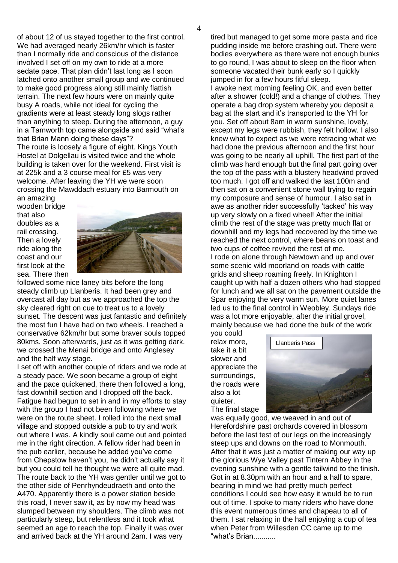of about 12 of us stayed together to the first control. We had averaged nearly 26km/hr which is faster than I normally ride and conscious of the distance involved I set off on my own to ride at a more sedate pace. That plan didn't last long as I soon latched onto another small group and we continued to make good progress along still mainly flattish terrain. The next few hours were on mainly quite busy A roads, while not ideal for cycling the gradients were at least steady long slogs rather than anything to steep. During the afternoon, a guy in a Tamworth top came alongside and said "what's that Brian Mann doing these days"?

The route is loosely a figure of eight. Kings Youth Hostel at Dolgellau is visited twice and the whole building is taken over for the weekend. First visit is at 225k and a 3 course meal for £5 was very welcome. After leaving the YH we were soon crossing the Mawddach estuary into Barmouth on

an amazing wooden bridge that also doubles as a rail crossing. Then a lovely ride along the coast and our first look at the sea. There then



followed some nice laney bits before the long steady climb up Llanberis. It had been grey and overcast all day but as we approached the top the sky cleared right on cue to treat us to a lovely sunset. The descent was just fantastic and definitely the most fun I have had on two wheels. I reached a conservative 62km/hr but some braver souls topped 80kms. Soon afterwards, just as it was getting dark, we crossed the Menai bridge and onto Anglesey and the half way stage.

I set off with another couple of riders and we rode at a steady pace. We soon became a group of eight and the pace quickened, there then followed a long, fast downhill section and I dropped off the back. Fatigue had begun to set in and in my efforts to stay with the group I had not been following where we were on the route sheet. I rolled into the next small village and stopped outside a pub to try and work out where I was. A kindly soul came out and pointed me in the right direction. A fellow rider had been in the pub earlier, because he added you've come from Chepstow haven't you, he didn't actually say it but you could tell he thought we were all quite mad. The route back to the YH was gentler until we got to the other side of Penrhyndeudraeth and onto the A470. Apparently there is a power station beside this road, I never saw it, as by now my head was slumped between my shoulders. The climb was not particularly steep, but relentless and it took what seemed an age to reach the top. Finally it was over and arrived back at the YH around 2am. I was very

tired but managed to get some more pasta and rice pudding inside me before crashing out. There were bodies everywhere as there were not enough bunks to go round, I was about to sleep on the floor when someone vacated their bunk early so I quickly jumped in for a few hours fitful sleep. I awoke next morning feeling OK, and even better after a shower (cold!) and a change of clothes. They operate a bag drop system whereby you deposit a bag at the start and it's transported to the YH for you. Set off about 8am in warm sunshine, lovely, except my legs were rubbish, they felt hollow. I also knew what to expect as we were retracing what we had done the previous afternoon and the first hour was going to be nearly all uphill. The first part of the climb was hard enough but the final part going over the top of the pass with a blustery headwind proved too much. I got off and walked the last 100m and then sat on a convenient stone wall trying to regain my composure and sense of humour. I also sat in awe as another rider successfully 'tacked' his way up very slowly on a fixed wheel! After the initial climb the rest of the stage was pretty much flat or downhill and my legs had recovered by the time we reached the next control, where beans on toast and two cups of coffee revived the rest of me. I rode on alone through Newtown and up and over some scenic wild moorland on roads with cattle grids and sheep roaming freely. In Knighton I caught up with half a dozen others who had stopped for lunch and we all sat on the pavement outside the Spar enjoying the very warm sun. More quiet lanes led us to the final control in Weobley. Sundays ride was a lot more enjoyable, after the initial grovel, mainly because we had done the bulk of the work

you could relax more, take it a bit slower and appreciate the surroundings, the roads were also a lot quieter. The final stage



was equally good, we weaved in and out of Herefordshire past orchards covered in blossom before the last test of our legs on the increasingly steep ups and downs on the road to Monmouth. After that it was just a matter of making our way up the glorious Wye Valley past Tintern Abbey in the evening sunshine with a gentle tailwind to the finish. Got in at 8.30pm with an hour and a half to spare, bearing in mind we had pretty much perfect conditions I could see how easy it would be to run out of time. I spoke to many riders who have done this event numerous times and chapeau to all of them. I sat relaxing in the hall enjoying a cup of tea when Peter from Willesden CC came up to me "what's Brian...........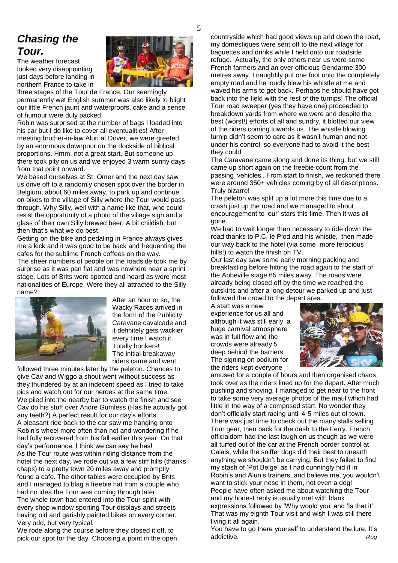# *Chasing the Tour.*

**T**he weather forecast looked very disappointing just days before landing in northern France to take in



three stages of the Tour de France. Our seemingly permanently wet English summer was also likely to blight our little French jaunt and waterproofs, cake and a sense of humour were duly packed.

Robin was surprised at the number of bags I loaded into his car but I do like to cover all eventualities! After meeting brother-in-law Alun at Dover, we were greeted by an enormous downpour on the dockside of biblical proportions. Hmm, not a great start. But someone up there took pity on us and we enjoyed 3 warm sunny days from that point onward.

We based ourselves at St. Omer and the next day saw us drive off to a randomly chosen spot over the border in Belgium, about 60 miles away, to park up and continue on bikes to the village of Silly where the Tour would pass through. Why Silly, well with a name like that, who could resist the opportunity of a photo of the village sign and a glass of their own Silly brewed beer! A bit childish, but then that's what we do best.

Getting on the bike and pedaling in France always gives me a kick and it was good to be back and frequenting the cafes for the sublime French coffees on the way.

The sheer numbers of people on the roadside took me by surprise as it was pan flat and was nowhere near a sprint stage. Lots of Brits were spotted and heard as were most nationalities of Europe. Were they all attracted to the Silly name?



After an hour or so, the Wacky Races arrived in the form of the Publicity Caravane cavalcade and it definitely gets wackier every time I watch it. Totally bonkers! The initial breakaway riders came and went

followed three minutes later by the peleton. Chances to give Cav and Wiggo a shout went without success as they thundered by at an indecent speed as I tried to take pics and watch out for our heroes at the same time. We piled into the nearby bar to watch the finish and see Cav do his stuff over Andre Gumless (Has he actually got any teeth?) A perfect result for our day's efforts. A pleasant ride back to the car saw me hanging onto Robin's wheel more often than not and wondering if he had fully recovered from his fall earlier this year. On that day's performance, I think we can say he has! As the Tour route was within riding distance from the hotel the next day, we rode out via a few stiff hills (thanks chaps) to a pretty town 20 miles away and promptly found a cafe. The other tables were occupied by Brits and I managed to blag a freebie hat from a couple who had no idea the Tour was coming through later! The whole town had entered into the Tour spirit with every shop window sporting Tour displays and streets having old and garishly painted bikes on every corner. Very odd, but very typical.

We rode along the course before they closed it off, to pick our spot for the day. Choosing a point in the open

countryside which had good views up and down the road, my domestiques were sent off to the next village for baguettes and drinks while I held onto our roadside refuge. Actually, the only others near us were some French farmers and an over officious Gendarme 300 metres away. I naughtily put one foot onto the completely empty road and he loudly blew his whistle at me and waved his arms to get back. Perhaps he should have got back into the field with the rest of the turnips! The official Tour road sweeper (yes they have one) proceeded to breakdown yards from where we were and despite the best (worst!) efforts of all and sundry, it blotted our view of the riders coming towards us. The whistle blowing turnip didn't seem to care as it wasn't human and not under his control, so everyone had to avoid it the best they could.

The Caravane came along and done its thing, but we still came up short again on the freebie count from the passing 'vehicles'. From start to finish, we reckoned there were around 350+ vehicles coming by of all descriptions. Truly bizarre!

The peleton was split up a lot more this time due to a crash just up the road and we managed to shout encouragement to 'our' stars this time. Then it was all gone.

We had to wait longer than necessary to ride down the road thanks to P.C. le Plod and his whistle, then made our way back to the hotel (via some more ferocious hills!) to watch the finish on TV.

Our last day saw some early morning packing and breakfasting before hitting the road again to the start of the Abbeville stage 65 miles away. The roads were already being closed off by the time we reached the outskirts and after a long detour we parked up and just followed the crowd to the depart area.

A start was a new experience for us all and although it was still early, a huge carnival atmosphere was in full flow and the crowds were already 5 deep behind the barriers. The signing on podium for the riders kept everyone



amused for a couple of hours and then organised chaos took over as the riders lined up for the depart. After much pushing and shoving, I managed to get near to the front to take some very average photos of the maul which had little in the way of a composed start. No wonder they don't officially start racing until 4-5 miles out of town. There was just time to check out the many stalls selling Tour gear, then back for the dash to the Ferry. French officialdom had the last laugh on us though as we were all turfed out of the car at the French border control at Calais, while the sniffer dogs did their best to unearth anything we shouldn't be carrying. But they failed to find my stash of 'Pot Belge' as I had cunningly hid it in Robin's and Alun's trainers, and believe me, you wouldn't want to stick your nose in them, not even a dog! People have often asked me about watching the Tour and my honest reply is usually met with blank expressions followed by 'Why would you' and 'Is that it' That was my eighth Tour visit and wish I was still there living it all again.

You have to go there yourself to understand the lure. It's addictive. Rog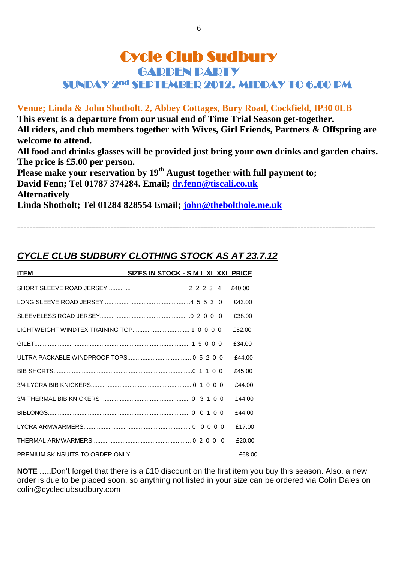## Cycle Club Sudbury GARDEN PARTY SUNDAY 2nd SEPTEMBER 2012. MIDDAY TO 6.00 PM

### **Venue; Linda & John Shotbolt. 2, Abbey Cottages, Bury Road, Cockfield, IP30 0LB**

**This event is a departure from our usual end of Time Trial Season get-together. All riders, and club members together with Wives, Girl Friends, Partners & Offspring are welcome to attend. All food and drinks glasses will be provided just bring your own drinks and garden chairs. The price is £5.00 per person.** Please make your reservation by 19<sup>th</sup> August together with full payment to; **David Fenn; Tel 01787 374284. Email; [dr.fenn@tiscali.co.uk](mailto:dr.fenn@tiscali.co.uk) Alternatively Linda Shotbolt; Tel 01284 828554 Email; [john@thebolthole.me.uk](mailto:john@thebolthole.me.uk)**

**-------------------------------------------------------------------------------------------------------------------**

*CYCLE CLUB SUDBURY CLOTHING STOCK AS AT 23.7.12*

| <b>ITEM</b>              | SIZES IN STOCK - S M L XL XXL PRICE |        |
|--------------------------|-------------------------------------|--------|
| SHORT SLEEVE ROAD JERSEY | 22234                               | f40.00 |
|                          |                                     | £43.00 |
|                          |                                     | £38.00 |
|                          |                                     | £52.00 |
|                          |                                     | £34.00 |
|                          |                                     | £44.00 |
|                          |                                     | f45.00 |
|                          |                                     | f44.00 |
|                          |                                     | £44.00 |
|                          |                                     | £44.00 |
|                          |                                     | £17.00 |
|                          |                                     | £20.00 |
|                          |                                     |        |

**NOTE …..**Don't forget that there is a £10 discount on the first item you buy this season. Also, a new order is due to be placed soon, so anything not listed in your size can be ordered via Colin Dales on colin@cycleclubsudbury.com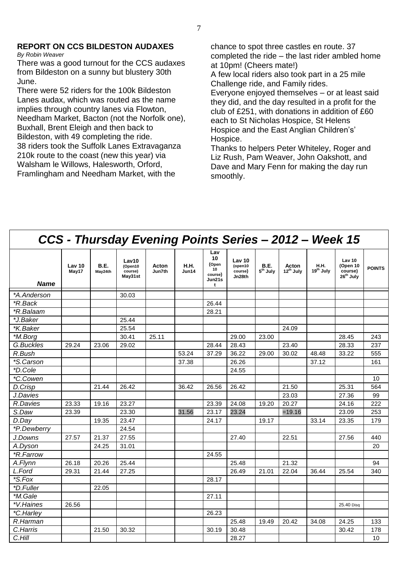#### **REPORT ON CCS BILDESTON AUDAXES** *By Robin Weaver*

There was a good turnout for the CCS audaxes from Bildeston on a sunny but blustery 30th June.

There were 52 riders for the 100k Bildeston Lanes audax, which was routed as the name implies through country lanes via Flowton, Needham Market, Bacton (not the Norfolk one), Buxhall, Brent Eleigh and then back to Bildeston, with 49 completing the ride. 38 riders took the Suffolk Lanes Extravaganza 210k route to the coast (new this year) via Walsham le Willows, Halesworth, Orford, Framlingham and Needham Market, with the

chance to spot three castles en route. 37 completed the ride – the last rider ambled home at 10pm! (Cheers mate!)

A few local riders also took part in a 25 mile Challenge ride, and Family rides.

Everyone enjoyed themselves – or at least said they did, and the day resulted in a profit for the club of £251, with donations in addition of £60 each to St Nicholas Hospice, St Helens Hospice and the East Anglian Children's' Hospice.

Thanks to helpers Peter Whiteley, Roger and Liz Rush, Pam Weaver, John Oakshott, and Dave and Mary Fenn for making the day run smoothly.

|                         |                 |                 | CCS - Thursday Evening Points Series - 2012 - Week 15 |                 |                      |                                                    |                                               |                                     |                                |                                      |                                                                   |               |
|-------------------------|-----------------|-----------------|-------------------------------------------------------|-----------------|----------------------|----------------------------------------------------|-----------------------------------------------|-------------------------------------|--------------------------------|--------------------------------------|-------------------------------------------------------------------|---------------|
| <b>Name</b>             | Lav 10<br>May17 | B.E.<br>May24th | Lav10<br>(Open10<br>course)<br>May31st                | Acton<br>Jun7th | <b>H.H.</b><br>Jun14 | Lav<br>10<br>(Open<br>10<br>course)<br>Jun21s<br>t | <b>Lav 10</b><br>(open10<br>course)<br>Jn28th | <b>B.E.</b><br>5 <sup>th</sup> July | Acton<br>12 <sup>th</sup> July | <b>H.H.</b><br>19 <sup>th</sup> July | Lav <sub>10</sub><br>(Open 10<br>course)<br>26 <sup>th</sup> July | <b>POINTS</b> |
| *A.Anderson             |                 |                 | 30.03                                                 |                 |                      |                                                    |                                               |                                     |                                |                                      |                                                                   |               |
| *R.Back                 |                 |                 |                                                       |                 |                      | 26.44                                              |                                               |                                     |                                |                                      |                                                                   |               |
| *R.Balaam               |                 |                 |                                                       |                 |                      | 28.21                                              |                                               |                                     |                                |                                      |                                                                   |               |
| *J.Baker                |                 |                 | 25.44                                                 |                 |                      |                                                    |                                               |                                     |                                |                                      |                                                                   |               |
| *K.Baker                |                 |                 | 25.54                                                 |                 |                      |                                                    |                                               |                                     | 24.09                          |                                      |                                                                   |               |
| *M.Borg                 |                 |                 | 30.41                                                 | 25.11           |                      |                                                    | 29.00                                         | 23.00                               |                                |                                      | 28.45                                                             | 243           |
| G.Buckles               | 29.24           | 23.06           | 29.02                                                 |                 |                      | 28.44                                              | 28.43                                         |                                     | 23.40                          |                                      | 28.33                                                             | 237           |
| R.Bush                  |                 |                 |                                                       |                 | 53.24                | 37.29                                              | 36.22                                         | 29.00                               | 30.02                          | 48.48                                | 33.22                                                             | 555           |
| *S.Carson               |                 |                 |                                                       |                 | 37.38                |                                                    | 26.26                                         |                                     |                                | 37.12                                |                                                                   | 161           |
| *D.Cole                 |                 |                 |                                                       |                 |                      |                                                    | 24.55                                         |                                     |                                |                                      |                                                                   |               |
| *C.Cowen                |                 |                 |                                                       |                 |                      |                                                    |                                               |                                     |                                |                                      |                                                                   | 10            |
| D.Crisp                 |                 | 21.44           | 26.42                                                 |                 | 36.42                | 26.56                                              | 26.42                                         |                                     | 21.50                          |                                      | 25.31                                                             | 564           |
| J.Davies                |                 |                 |                                                       |                 |                      |                                                    |                                               |                                     | 23.03                          |                                      | 27.36                                                             | 99            |
| R.Davies                | 23.33           | 19.16           | 23.27                                                 |                 |                      | 23.39                                              | 24.08                                         | 19.20                               | 20.27                          |                                      | 24.16                                                             | 222           |
| S.Daw                   | 23.39           |                 | 23.30                                                 |                 | 31.56                | 23.17                                              | 23.24                                         |                                     | $=19.16$                       |                                      | 23.09                                                             | 253           |
| D.Day                   |                 | 19.35           | 23.47                                                 |                 |                      | 24.17                                              |                                               | 19.17                               |                                | 33.14                                | 23.35                                                             | 179           |
| *P.Dewberry             |                 |                 | 24.54                                                 |                 |                      |                                                    |                                               |                                     |                                |                                      |                                                                   |               |
| J.Downs                 | 27.57           | 21.37           | 27.55                                                 |                 |                      |                                                    | 27.40                                         |                                     | 22.51                          |                                      | 27.56                                                             | 440           |
| A.Dyson                 |                 | 24.25           | 31.01                                                 |                 |                      |                                                    |                                               |                                     |                                |                                      |                                                                   | 20            |
| <i><b>*R.Farrow</b></i> |                 |                 |                                                       |                 |                      | 24.55                                              |                                               |                                     |                                |                                      |                                                                   |               |
| A.Flynn                 | 26.18           | 20.26           | 25.44                                                 |                 |                      |                                                    | 25.48                                         |                                     | 21.32                          |                                      |                                                                   | 94            |
| L.Ford                  | 29.31           | 21.44           | 27.25                                                 |                 |                      |                                                    | 26.49                                         | 21.01                               | 22.04                          | 36.44                                | 25.54                                                             | 340           |
| *S.Fox                  |                 |                 |                                                       |                 |                      | 28.17                                              |                                               |                                     |                                |                                      |                                                                   |               |
| *D.Fuller               |                 | 22.05           |                                                       |                 |                      |                                                    |                                               |                                     |                                |                                      |                                                                   |               |
| *M.Gale                 |                 |                 |                                                       |                 |                      | 27.11                                              |                                               |                                     |                                |                                      |                                                                   |               |
| *V.Haines               | 26.56           |                 |                                                       |                 |                      |                                                    |                                               |                                     |                                |                                      | 25.40 Disg                                                        |               |
| *C.Harley               |                 |                 |                                                       |                 |                      | 26.23                                              |                                               |                                     |                                |                                      |                                                                   |               |
| R.Harman                |                 |                 |                                                       |                 |                      |                                                    | 25.48                                         | 19.49                               | 20.42                          | 34.08                                | 24.25                                                             | 133           |
| C.Harris                |                 | 21.50           | 30.32                                                 |                 |                      | 30.19                                              | 30.48                                         |                                     |                                |                                      | 30.42                                                             | 178           |
| C.Hill                  |                 |                 |                                                       |                 |                      |                                                    | 28.27                                         |                                     |                                |                                      |                                                                   | 10            |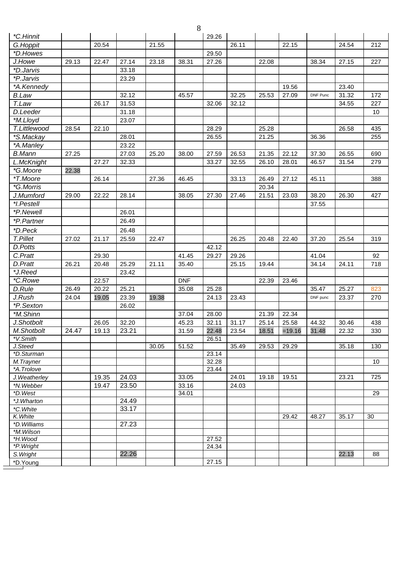|                         |       |       |       |       | 8          |       |       |       |          |                 |       |     |
|-------------------------|-------|-------|-------|-------|------------|-------|-------|-------|----------|-----------------|-------|-----|
| *C.Hinnit               |       |       |       |       |            | 29.26 |       |       |          |                 |       |     |
| G.Hoppit                |       | 20.54 |       | 21.55 |            |       | 26.11 |       | 22.15    |                 | 24.54 | 212 |
| *D.Howes                |       |       |       |       |            | 29.50 |       |       |          |                 |       |     |
| J.Howe                  | 29.13 | 22.47 | 27.14 | 23.18 | 38.31      | 27.26 |       | 22.08 |          | 38.34           | 27.15 | 227 |
| <i>*D.Jarvis</i>        |       |       | 33.18 |       |            |       |       |       |          |                 |       |     |
| <i><b>*P.Jarvis</b></i> |       |       | 23.29 |       |            |       |       |       |          |                 |       |     |
| *A.Kennedy              |       |       |       |       |            |       |       |       | 19.56    |                 | 23.40 |     |
| <b>B.Law</b>            |       |       | 32.12 |       | 45.57      |       | 32.25 | 25.53 | 27.09    | <b>DNF Punc</b> | 31.32 | 172 |
| T.Law                   |       | 26.17 | 31.53 |       |            | 32.06 | 32.12 |       |          |                 | 34.55 | 227 |
| D.Leeder                |       |       | 31.18 |       |            |       |       |       |          |                 |       | 10  |
| *M.Lloyd                |       |       | 23.07 |       |            |       |       |       |          |                 |       |     |
| T.Littlewood            | 28.54 | 22.10 |       |       |            | 28.29 |       | 25.28 |          |                 | 26.58 | 435 |
| *S.Mackay               |       |       | 28.01 |       |            | 26.55 |       | 21.25 |          | 36.36           |       | 255 |
| *A.Manley               |       |       | 23.22 |       |            |       |       |       |          |                 |       |     |
| <b>B.Mann</b>           | 27.25 |       | 27.03 | 25.20 | 38.00      | 27.59 | 26.53 | 21.35 | 22.12    | 37.30           | 26.55 | 690 |
| L.McKnight              |       | 27.27 | 32.33 |       |            | 33.27 | 32.55 | 26.10 | 28.01    | 46.57           | 31.54 | 279 |
| *G.Moore                | 22.38 |       |       |       |            |       |       |       |          |                 |       |     |
| *T.Moore                |       | 26.14 |       | 27.36 | 46.45      |       | 33.13 | 26.49 | 27.12    | 45.11           |       | 388 |
| *G.Morris               |       |       |       |       |            |       |       | 20.34 |          |                 |       |     |
| J.Mumford               | 29.00 | 22.22 | 28.14 |       | 38.05      | 27.30 | 27.46 | 21.51 | 23.03    | 38.20           | 26.30 | 427 |
| *I.Pestell              |       |       |       |       |            |       |       |       |          | 37.55           |       |     |
| *P.Newell               |       |       | 26.01 |       |            |       |       |       |          |                 |       |     |
| *P.Partner              |       |       | 26.49 |       |            |       |       |       |          |                 |       |     |
| *D.Peck                 |       |       | 26.48 |       |            |       |       |       |          |                 |       |     |
| T.Pillet                | 27.02 | 21.17 | 25.59 | 22.47 |            |       | 26.25 | 20.48 | 22.40    | 37.20           | 25.54 | 319 |
| D.Potts                 |       |       |       |       |            | 42.12 |       |       |          |                 |       |     |
| C.Pratt                 |       | 29.30 |       |       | 41.45      | 29.27 | 29.26 |       |          | 41.04           |       | 92  |
| D.Pratt                 | 26.21 | 20.48 | 25.29 | 21.11 | 35.40      |       | 25.15 | 19.44 |          | 34.14           | 24.11 | 718 |
| *J.Reed                 |       |       | 23.42 |       |            |       |       |       |          |                 |       |     |
| *C.Rowe                 |       | 22.57 |       |       | <b>DNF</b> |       |       | 22.39 | 23.46    |                 |       |     |
| D.Rule                  | 26.49 | 20.22 | 25.21 |       | 35.08      | 25.28 |       |       |          | 35.47           | 25.27 | 823 |
| J.Rush                  | 24.04 | 19.05 | 23.39 | 19.38 |            | 24.13 | 23.43 |       |          | DNF punc        | 23.37 | 270 |
| *P.Sexton               |       |       | 26.02 |       |            |       |       |       |          |                 |       |     |
| *M.Shinn                |       |       |       |       | 37.04      | 28.00 |       | 21.39 | 22.34    |                 |       |     |
| J.Shotbolt              |       | 26.05 | 32.20 |       | 45.23      | 32.11 | 31.17 | 25.14 | 25.58    | 44.32           | 30.46 | 438 |
| M.Shotbolt              | 24.47 | 19.13 | 23.21 |       | 31.59      | 22.48 | 23.54 | 18.51 | $=19.16$ | 31.48           | 22.32 | 330 |
| *V.Smith                |       |       |       |       |            | 26.51 |       |       |          |                 |       |     |
| J.Steed                 |       |       |       | 30.05 | 51.52      |       | 35.49 | 29.53 | 29.29    |                 | 35.18 | 130 |
| *D.Sturman              |       |       |       |       |            | 23.14 |       |       |          |                 |       |     |
| M.Trayner               |       |       |       |       |            | 32.28 |       |       |          |                 |       | 10  |
| *A.Trolove              |       |       |       |       |            | 23.44 |       |       |          |                 |       |     |
| J. Weatherley           |       | 19.35 | 24.03 |       | 33.05      |       | 24.01 | 19.18 | 19.51    |                 | 23.21 | 725 |
| *N.Webber               |       | 19.47 | 23.50 |       | 33.16      |       | 24.03 |       |          |                 |       |     |
| *D.West<br>*J.Wharton   |       |       | 24.49 |       | 34.01      |       |       |       |          |                 |       | 29  |
| *C. White               |       |       | 33.17 |       |            |       |       |       |          |                 |       |     |
| K. White                |       |       |       |       |            |       |       |       | 29.42    | 48.27           | 35.17 | 30  |
| *D. Williams            |       |       | 27.23 |       |            |       |       |       |          |                 |       |     |
| *M.Wilson               |       |       |       |       |            |       |       |       |          |                 |       |     |
| *H.Wood                 |       |       |       |       |            | 27.52 |       |       |          |                 |       |     |
| *P. Wright              |       |       |       |       |            | 24.34 |       |       |          |                 |       |     |
| S. Wright               |       |       | 22.26 |       |            |       |       |       |          |                 | 22.13 | 88  |
| *D.Young                |       |       |       |       |            | 27.15 |       |       |          |                 |       |     |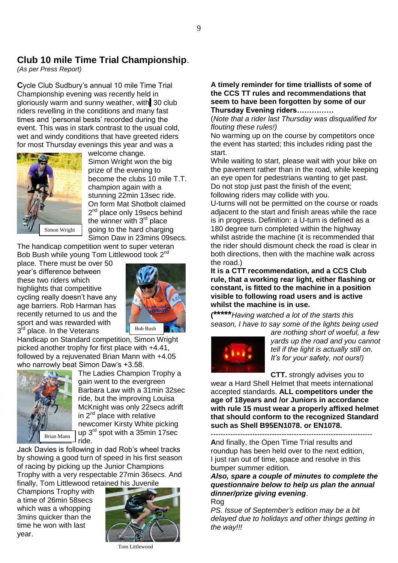### **Club 10 mile Time Trial Championship**.

*(As per Press Report)*

**C**ycle Club Sudbury's annual 10 mile Time Trial Championship evening was recently held in gloriously warm and sunny weather, with 30 club riders revelling in the conditions and many fast times and 'personal bests' recorded during the event. This was in stark contrast to the usual cold, wet and windy conditions that have greeted riders for most Thursday evenings this year and was a



welcome change. Simon Wright won the big prize of the evening to become the clubs 10 mile T.T. champion again with a stunning 22min 13sec ride. On form Mat Shotbolt claimed 2<sup>nd</sup> place only 19secs behind the winner with 3<sup>rd</sup> place going to the hard charging Simon Daw in 23mins 09secs.

The handicap competition went to super veteran Bob Bush while young Tom Littlewood took 2<sup>nd</sup>

place. There must be over 50 year's difference between these two riders which highlights that competitive cycling really doesn't have any age barriers. Rob Harman has recently returned to us and the sport and was rewarded with 3<sup>rd</sup> place. In the Veterans



Handicap on Standard competition, Simon Wright picked another trophy for first place with +4.41, followed by a rejuvenated Brian Mann with +4.05 who narrowly beat Simon Daw's +3.58.



The Ladies Champion Trophy a gain went to the evergreen Barbara Law with a 31min 32sec ride, but the improving Louisa McKnight was only 22secs adrift in  $2<sup>nd</sup>$  place with relative newcomer Kirsty White picking up  $3^{\text{rd}}$  spot with a 35min 17sec ride.

Jack Davies is following in dad Rob's wheel tracks by showing a good turn of speed in his first season of racing by picking up the Junior Champions Trophy with a very respectable 27min 36secs. And finally, Tom Littlewood retained his Juvenile

Champions Trophy with a time of 26min 58secs which was a whopping 3mins quicker than the time he won with last year.



#### Tom Littlewood

### **A timely reminder for time triallists of some of the CCS TT rules and recommendations that seem to have been forgotten by some of our Thursday Evening riders……………**

(*Note that a rider last Thursday was disqualified for flouting these rules!)*

No warming up on the course by competitors once the event has started; this includes riding past the start.

While waiting to start, please wait with your bike on the pavement rather than in the road, while keeping an eye open for pedestrians wanting to get past. Do not stop just past the finish of the event; following riders may collide with you.

U-turns will not be permitted on the course or roads adjacent to the start and finish areas while the race is in progress. Definition: a U-turn is defined as a 180 degree turn completed within the highway whilst astride the machine (it is recommended that the rider should dismount check the road is clear in both directions, then with the machine walk across the road.)

**It is a CTT recommendation, and a CCS Club rule, that a working rear light, either flashing or constant, is fitted to the machine in a position visible to following road users and is active whilst the machine is in use.**

**(\*\*\*\*\****Having watched a lot of the starts this season, I have to say some of the lights being used* 



*are nothing short of woeful, a few yards up the road and you cannot tell if the light is actually still on. It's for your safety, not ours!)*

**CTT.** strongly advises you to

wear a Hard Shell Helmet that meets international accepted standards. **ALL competitors under the age of 18years and /or Juniors in accordance with rule 15 must wear a properly affixed helmet that should conform to the recognized Standard such as Shell B95EN1078. or EN1078.**

------------------------------------------------------------------ **A**nd finally, the Open Time Trial results and roundup has been held over to the next edition, I just ran out of time, space and resolve in this bumper summer edition.

*Also, spare a couple of minutes to complete the questionnaire below to help us plan the annual dinner/prize giving evening*. Rog

*PS. Issue of September's edition may be a bit delayed due to holidays and other things getting in the way!!!*